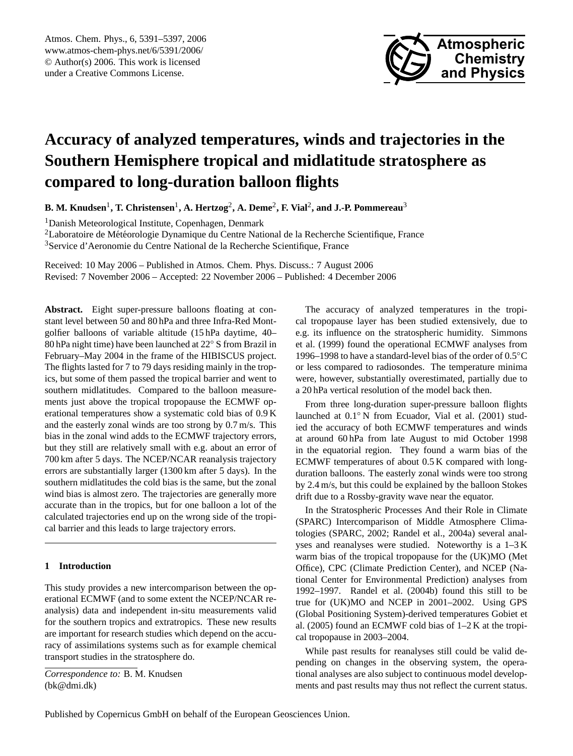

# <span id="page-0-0"></span>**Accuracy of analyzed temperatures, winds and trajectories in the Southern Hemisphere tropical and midlatitude stratosphere as compared to long-duration balloon flights**

**B. M. Knudsen**<sup>1</sup> **, T. Christensen**<sup>1</sup> **, A. Hertzog**<sup>2</sup> **, A. Deme**<sup>2</sup> **, F. Vial**<sup>2</sup> **, and J.-P. Pommereau**<sup>3</sup>

<sup>1</sup>Danish Meteorological Institute, Copenhagen, Denmark

<sup>2</sup>Laboratoire de Météorologie Dynamique du Centre National de la Recherche Scientifique, France <sup>3</sup>Service d'Aeronomie du Centre National de la Recherche Scientifique, France

Received: 10 May 2006 – Published in Atmos. Chem. Phys. Discuss.: 7 August 2006 Revised: 7 November 2006 – Accepted: 22 November 2006 – Published: 4 December 2006

Abstract. Eight super-pressure balloons floating at constant level between 50 and 80 hPa and three Infra-Red Montgolfier balloons of variable altitude (15 hPa daytime, 40– 80 hPa night time) have been launched at 22◦ S from Brazil in February–May 2004 in the frame of the HIBISCUS project. The flights lasted for 7 to 79 days residing mainly in the tropics, but some of them passed the tropical barrier and went to southern midlatitudes. Compared to the balloon measurements just above the tropical tropopause the ECMWF operational temperatures show a systematic cold bias of 0.9 K and the easterly zonal winds are too strong by 0.7 m/s. This bias in the zonal wind adds to the ECMWF trajectory errors, but they still are relatively small with e.g. about an error of 700 km after 5 days. The NCEP/NCAR reanalysis trajectory errors are substantially larger (1300 km after 5 days). In the southern midlatitudes the cold bias is the same, but the zonal wind bias is almost zero. The trajectories are generally more accurate than in the tropics, but for one balloon a lot of the calculated trajectories end up on the wrong side of the tropical barrier and this leads to large trajectory errors.

## **1 Introduction**

This study provides a new intercomparison between the operational ECMWF (and to some extent the NCEP/NCAR reanalysis) data and independent in-situ measurements valid for the southern tropics and extratropics. These new results are important for research studies which depend on the accuracy of assimilations systems such as for example chemical transport studies in the stratosphere do.

*Correspondence to:* B. M. Knudsen (bk@dmi.dk)

The accuracy of analyzed temperatures in the tropical tropopause layer has been studied extensively, due to e.g. its influence on the stratospheric humidity. Simmons et al. (1999) found the operational ECMWF analyses from 1996–1998 to have a standard-level bias of the order of 0.5◦C or less compared to radiosondes. The temperature minima were, however, substantially overestimated, partially due to a 20 hPa vertical resolution of the model back then.

From three long-duration super-pressure balloon flights launched at 0.1◦ N from Ecuador, Vial et al. (2001) studied the accuracy of both ECMWF temperatures and winds at around 60 hPa from late August to mid October 1998 in the equatorial region. They found a warm bias of the ECMWF temperatures of about 0.5 K compared with longduration balloons. The easterly zonal winds were too strong by 2.4 m/s, but this could be explained by the balloon Stokes drift due to a Rossby-gravity wave near the equator.

In the Stratospheric Processes And their Role in Climate (SPARC) Intercomparison of Middle Atmosphere Climatologies (SPARC, 2002; Randel et al., 2004a) several analyses and reanalyses were studied. Noteworthy is a 1–3 K warm bias of the tropical tropopause for the (UK)MO (Met Office), CPC (Climate Prediction Center), and NCEP (National Center for Environmental Prediction) analyses from 1992–1997. Randel et al. (2004b) found this still to be true for (UK)MO and NCEP in 2001–2002. Using GPS (Global Positioning System)-derived temperatures Gobiet et al. (2005) found an ECMWF cold bias of 1–2 K at the tropical tropopause in 2003–2004.

While past results for reanalyses still could be valid depending on changes in the observing system, the operational analyses are also subject to continuous model developments and past results may thus not reflect the current status.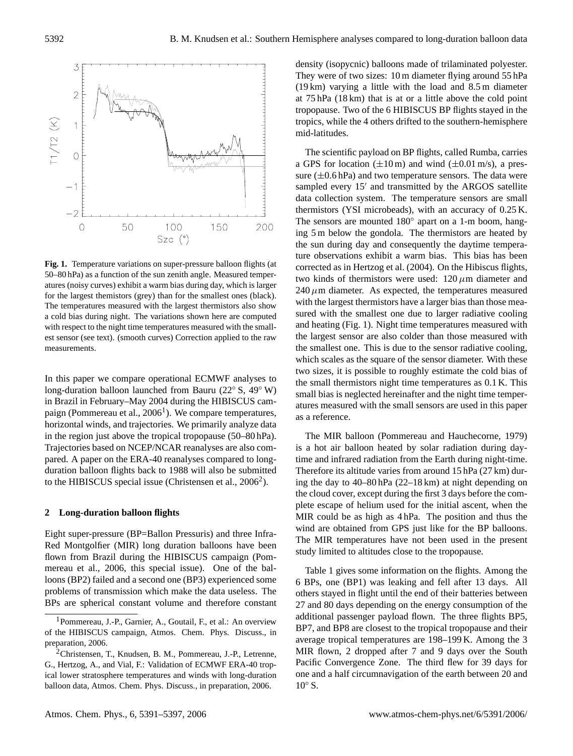

Fig. 1. Temperature variations on super-pressure balloon flights (at 50–80 hPa) as a function of the sun zenith angle. Measured temperatures (noisy curves) exhibit a warm bias during day, which is larger for the largest themistors (grey) than for the smallest ones (black). The temperatures measured with the largest thermistors also show a cold bias during night. The variations shown here are computed with respect to the night time temperatures measured with the smallest sensor (see text). (smooth curves) Correction applied to the raw measurements.

in the region just above the tropical tropopause (50–80 hPa). Trajectories based on NCEP/NCAR reanalyses are also comduration balloon flights back to 1988 will also be submitted In this paper we compare operational ECMWF analyses to long-duration balloon launched from Bauru (22◦ S, 49◦ W) in Brazil in February–May 2004 during the HIBISCUS cam-paign (Pommereau et al., 2006<sup>[1](#page-1-0)</sup>). We compare temperatures, horizontal winds, and trajectories. We primarily analyze data pared. A paper on the ERA-40 reanalyses compared to longto the HIBISCUS special issue (Christensen et al.,  $2006^2$  $2006^2$ ).

#### **2 Long-duration balloon flights**

Eight super-pressure (BP=Ballon Pressuris) and three Infra-Red Montgolfier (MIR) long duration balloons have been flown from Brazil during the HIBISCUS campaign (Pommereau et al., 2006, this special issue). One of the balloons (BP2) failed and a second one (BP3) experienced some problems of transmission which make the data useless. The BPs are spherical constant volume and therefore constant density (isopycnic) balloons made of trilaminated polyester. They were of two sizes: 10 m diameter flying around 55 hPa (19 km) varying a little with the load and 8.5 m diameter at 75 hPa (18 km) that is at or a little above the cold point tropopause. Two of the 6 HIBISCUS BP flights stayed in the tropics, while the 4 others drifted to the southern-hemisphere mid-latitudes.

The scientific payload on BP flights, called Rumba, carries a GPS for location  $(\pm 10 \,\text{m})$  and wind  $(\pm 0.01 \,\text{m/s})$ , a pressure  $(\pm 0.6$  hPa) and two temperature sensors. The data were sampled every 15' and transmitted by the ARGOS satellite data collection system. The temperature sensors are small thermistors (YSI microbeads), with an accuracy of 0.25 K. The sensors are mounted 180° apart on a 1-m boom, hanging 5 m below the gondola. The thermistors are heated by the sun during day and consequently the daytime temperature observations exhibit a warm bias. This bias has been corrected as in Hertzog et al. (2004). On the Hibiscus flights, two kinds of thermistors were used:  $120 \mu m$  diameter and  $240 \mu$ m diameter. As expected, the temperatures measured with the largest thermistors have a larger bias than those measured with the smallest one due to larger radiative cooling and heating (Fig. 1). Night time temperatures measured with the largest sensor are also colder than those measured with the smallest one. This is due to the sensor radiative cooling, which scales as the square of the sensor diameter. With these two sizes, it is possible to roughly estimate the cold bias of the small thermistors night time temperatures as 0.1 K. This small bias is neglected hereinafter and the night time temperatures measured with the small sensors are used in this paper as a reference.

The MIR balloon (Pommereau and Hauchecorne, 1979) is a hot air balloon heated by solar radiation during daytime and infrared radiation from the Earth during night-time. Therefore its altitude varies from around 15 hPa (27 km) during the day to 40–80 hPa (22–18 km) at night depending on the cloud cover, except during the first 3 days before the complete escape of helium used for the initial ascent, when the MIR could be as high as 4 hPa. The position and thus the wind are obtained from GPS just like for the BP balloons. The MIR temperatures have not been used in the present study limited to altitudes close to the tropopause.

Table 1 gives some information on the flights. Among the 6 BPs, one (BP1) was leaking and fell after 13 days. All others stayed in flight until the end of their batteries between 27 and 80 days depending on the energy consumption of the additional passenger payload flown. The three flights BP5, BP7, and BP8 are closest to the tropical tropopause and their average tropical temperatures are 198–199 K. Among the 3 MIR flown, 2 dropped after 7 and 9 days over the South Pacific Convergence Zone. The third flew for 39 days for one and a half circumnavigation of the earth between 20 and  $10^{\circ}$  S.

<span id="page-1-0"></span><sup>1</sup>Pommereau, J.-P., Garnier, A., Goutail, F., et al.: An overview of the HIBISCUS campaign, Atmos. Chem. Phys. Discuss., in preparation, 2006.

<span id="page-1-1"></span><sup>2</sup>Christensen, T., Knudsen, B. M., Pommereau, J.-P., Letrenne, G., Hertzog, A., and Vial, F.: Validation of ECMWF ERA-40 tropical lower stratosphere temperatures and winds with long-duration balloon data, Atmos. Chem. Phys. Discuss., in preparation, 2006.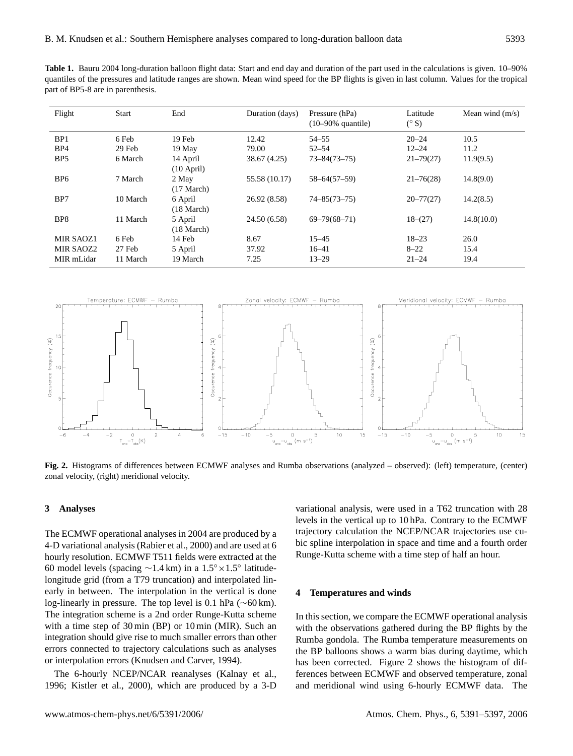**Table 1.** Bauru 2004 long-duration balloon flight data: Start and end day and duration of the part used in the calculations is given. 10–90% quantiles of the pressures and latitude ranges are shown. Mean wind speed for the BP flights is given in last column. Values for the tropical part of BP5-8 are in parenthesis.

| Flight          | <b>Start</b> | End                             | Duration (days) | Pressure (hPa)<br>$(10-90\%$ quantile) | Latitude<br>$(^\circ S)$ | Mean wind $(m/s)$ |
|-----------------|--------------|---------------------------------|-----------------|----------------------------------------|--------------------------|-------------------|
| BP <sub>1</sub> | 6 Feb        | 19 Feb                          | 12.42           | $54 - 55$                              | $20 - 24$                | 10.5              |
| BP4             | 29 Feb       | 19 May                          | 79.00           | $52 - 54$                              | $12 - 24$                | 11.2              |
| BP <sub>5</sub> | 6 March      | 14 April<br>$(10$ April)        | 38.67 (4.25)    | $73 - 84(73 - 75)$                     | $21 - 79(27)$            | 11.9(9.5)         |
| BP <sub>6</sub> | 7 March      | 2 May<br>$(17 \text{ March})$   | 55.58 (10.17)   | $58 - 64(57 - 59)$                     | $21 - 76(28)$            | 14.8(9.0)         |
| BP7             | 10 March     | 6 April<br>$(18 \text{ March})$ | 26.92 (8.58)    | $74 - 85(73 - 75)$                     | $20 - 77(27)$            | 14.2(8.5)         |
| BP8             | 11 March     | 5 April<br>$(18 \text{ March})$ | 24.50 (6.58)    | $69 - 79(68 - 71)$                     | $18-(27)$                | 14.8(10.0)        |
| MIR SAOZ1       | 6 Feb        | 14 Feb                          | 8.67            | $15 - 45$                              | $18 - 23$                | 26.0              |
| MIR SAOZ2       | 27 Feb       | 5 April                         | 37.92           | $16 - 41$                              | $8 - 22$                 | 15.4              |
| MIR mLidar      | 11 March     | 19 March                        | 7.25            | $13 - 29$                              | $21 - 24$                | 19.4              |



Fig. 2. Histograms of differences between ECMWF analyses and Rumba observations (analyzed – observed): (left) temperature, (center)<br>zonal velocity (right) meridional velocity zonal velocity, (right) meridional velocity.

## **3 Analyses**

The ECMWF operational analyses in 2004 are produced by a 4-D variational analysis (Rabier et al., 2000) and are used at 6 hourly resolution. ECMWF T511 fields were extracted at the 60 model levels (spacing ∼1.4 km) in a 1.5◦×1.5◦ latitudelongitude grid (from a T79 truncation) and interpolated linearly in between. The interpolation in the vertical is done log-linearly in pressure. The top level is 0.1 hPa (∼60 km). The integration scheme is a 2nd order Runge-Kutta scheme with a time step of 30 min (BP) or 10 min (MIR). Such an integration should give rise to much smaller errors than other errors connected to trajectory calculations such as analyses or interpolation errors (Knudsen and Carver, 1994).

The 6-hourly NCEP/NCAR reanalyses (Kalnay et al., 1996; Kistler et al., 2000), which are produced by a 3-D variational analysis, were used in a T62 truncation with 28 levels in the vertical up to 10 hPa. Contrary to the ECMWF trajectory calculation the NCEP/NCAR trajectories use cubic spline interpolation in space and time and a fourth order Runge-Kutta scheme with a time step of half an hour.

#### **4 Temperatures and winds**

In this section, we compare the ECMWF operational analysis with the observations gathered during the BP flights by the Rumba gondola. The Rumba temperature measurements on the BP balloons shows a warm bias during daytime, which has been corrected. Figure 2 shows the histogram of differences between ECMWF and observed temperature, zonal and meridional wind using 6-hourly ECMWF data. The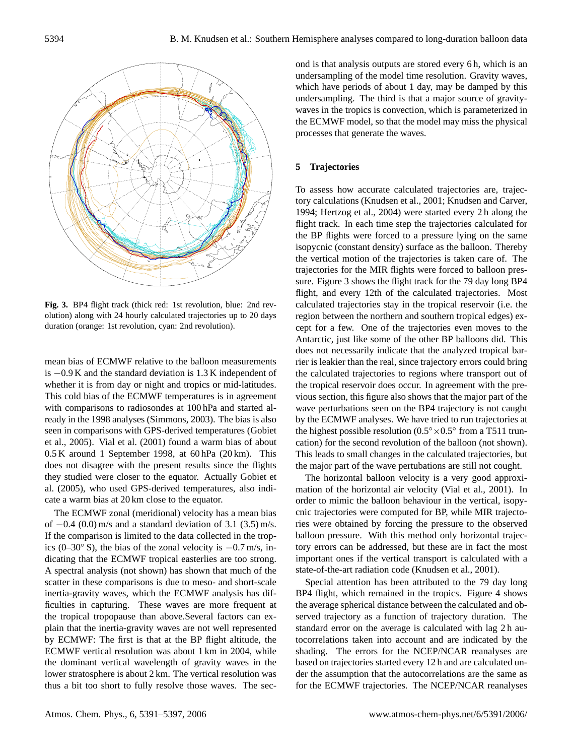

Fig. 3. BP4 flight track (thick red: 1st revolution, blue: 2nd revolution) along with 24 hourly calculated trajectories up to 20 days duration (orange: 1st revolution, cyan: 2nd revolution).

al. (2005), who used GPS-derived temperatures, also indimean bias of ECMWF relative to the balloon measurements is −0.9 K and the standard deviation is 1.3 K independent of whether it is from day or night and tropics or mid-latitudes. This cold bias of the ECMWF temperatures is in agreement with comparisons to radiosondes at 100 hPa and started already in the 1998 analyses (Simmons, 2003). The bias is also seen in comparisons with GPS-derived temperatures (Gobiet et al., 2005). Vial et al. (2001) found a warm bias of about 0.5 K around 1 September 1998, at 60 hPa (20 km). This does not disagree with the present results since the flights they studied were closer to the equator. Actually Gobiet et cate a warm bias at 20 km close to the equator.

The ECMWF zonal (meridional) velocity has a mean bias of  $-0.4$  (0.0) m/s and a standard deviation of 3.1 (3.5) m/s. If the comparison is limited to the data collected in the tropics (0–30◦ S), the bias of the zonal velocity is −0.7 m/s, indicating that the ECMWF tropical easterlies are too strong. A spectral analysis (not shown) has shown that much of the scatter in these comparisons is due to meso- and short-scale inertia-gravity waves, which the ECMWF analysis has difficulties in capturing. These waves are more frequent at the tropical tropopause than above.Several factors can explain that the inertia-gravity waves are not well represented by ECMWF: The first is that at the BP flight altitude, the ECMWF vertical resolution was about 1 km in 2004, while the dominant vertical wavelength of gravity waves in the lower stratosphere is about 2 km. The vertical resolution was thus a bit too short to fully resolve those waves. The second is that analysis outputs are stored every 6 h, which is an undersampling of the model time resolution. Gravity waves, which have periods of about 1 day, may be damped by this undersampling. The third is that a major source of gravitywaves in the tropics is convection, which is parameterized in the ECMWF model, so that the model may miss the physical processes that generate the waves.

## **5 Trajectories**

To assess how accurate calculated trajectories are, trajectory calculations (Knudsen et al., 2001; Knudsen and Carver, 1994; Hertzog et al., 2004) were started every 2 h along the flight track. In each time step the trajectories calculated for the BP flights were forced to a pressure lying on the same isopycnic (constant density) surface as the balloon. Thereby the vertical motion of the trajectories is taken care of. The trajectories for the MIR flights were forced to balloon pressure. Figure 3 shows the flight track for the 79 day long BP4 flight, and every 12th of the calculated trajectories. Most calculated trajectories stay in the tropical reservoir (i.e. the region between the northern and southern tropical edges) except for a few. One of the trajectories even moves to the Antarctic, just like some of the other BP balloons did. This does not necessarily indicate that the analyzed tropical barrier is leakier than the real, since trajectory errors could bring the calculated trajectories to regions where transport out of the tropical reservoir does occur. In agreement with the previous section, this figure also shows that the major part of the wave perturbations seen on the BP4 trajectory is not caught by the ECMWF analyses. We have tried to run trajectories at the highest possible resolution  $(0.5° \times 0.5°)$  from a T511 truncation) for the second revolution of the balloon (not shown). This leads to small changes in the calculated trajectories, but the major part of the wave pertubations are still not cought.

The horizontal balloon velocity is a very good approximation of the horizontal air velocity (Vial et al., 2001). In order to mimic the balloon behaviour in the vertical, isopycnic trajectories were computed for BP, while MIR trajectories were obtained by forcing the pressure to the observed balloon pressure. With this method only horizontal trajectory errors can be addressed, but these are in fact the most important ones if the vertical transport is calculated with a state-of-the-art radiation code (Knudsen et al., 2001).

Special attention has been attributed to the 79 day long BP4 flight, which remained in the tropics. Figure 4 shows the average spherical distance between the calculated and observed trajectory as a function of trajectory duration. The standard error on the average is calculated with lag 2 h autocorrelations taken into account and are indicated by the shading. The errors for the NCEP/NCAR reanalyses are based on trajectories started every 12 h and are calculated under the assumption that the autocorrelations are the same as for the ECMWF trajectories. The NCEP/NCAR reanalyses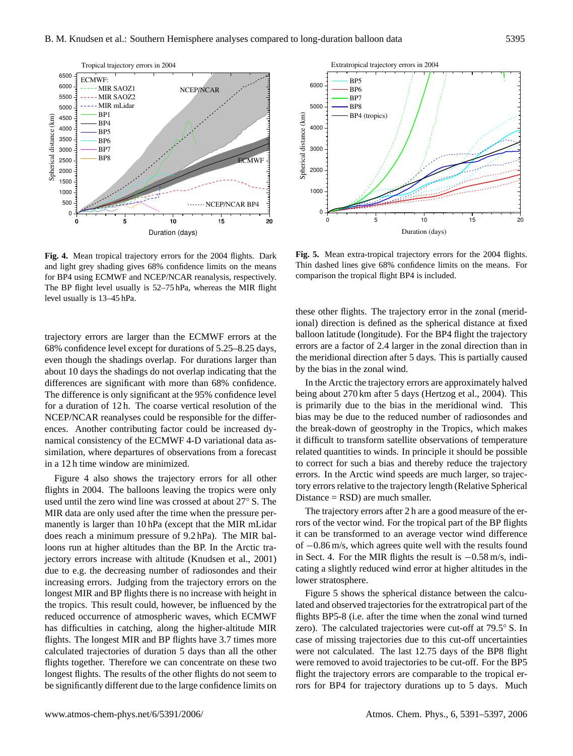NCEP/NCAR

NCEP/NCAR BP4

 $ECMWF =$ 



Tropical trajectory errors in 2004

 MIR SAOZ1 MIR SAOZ2 MIR mLidar BP1 BP4 BP5 BP6 BP7 BP8

ECMWF:

Spherical distance (km)

Spherical distance (km)

0 5 10 15 20 Duration (days)

trajectory errors are larger than the ECMWF errors at the 68% confidence level except for durations of 5.25–8.25 days, even though the shadings overlap. For durations larger than about 10 days the shadings do not overlap indicating that the differences are significant with more than 68% confidence. The difference is only significant at the 95% confidence level for a duration of 12 h. The coarse vertical resolution of the NCEP/NCAR reanalyses could be responsible for the differences. Another contributing factor could be increased dynamical consistency of the ECMWF 4-D variational data assimilation, where departures of observations from a forecast in a 12 h time window are minimized.

flights in 2004. The balloons leaving the tropics were only Figure 4 also shows the trajectory errors for all other used until the zero wind line was crossed at about 27◦ S. The MIR data are only used after the time when the pressure permanently is larger than 10 hPa (except that the MIR mLidar does reach a minimum pressure of 9.2 hPa). The MIR balloons run at higher altitudes than the BP. In the Arctic trajectory errors increase with altitude (Knudsen et al., 2001) due to e.g. the decreasing number of radiosondes and their increasing errors. Judging from the trajectory errors on the longest MIR and BP flights there is no increase with height in the tropics. This result could, however, be influenced by the reduced occurrence of atmospheric waves, which ECMWF has difficulties in catching, along the higher-altitude MIR flights. The longest MIR and BP flights have 3.7 times more calculated trajectories of duration 5 days than all the other flights together. Therefore we can concentrate on these two longest flights. The results of the other flights do not seem to be significantly different due to the large confidence limits on



Extratropical trajectory errors in 2004

 BP5 BP6

6000

**Fig. 5.** Mean extra-tropical trajectory errors for the 2004 flights. Thin dashed lines give 68% confidence limits on the means. For comparison the tropical flight BP4 is included.

these other flights. The trajectory error in the zonal (meridional) direction is defined as the spherical distance at fixed balloon latitude (longitude). For the BP4 flight the trajectory errors are a factor of 2.4 larger in the zonal direction than in the meridional direction after 5 days. This is partially caused by the bias in the zonal wind.

tory errors relative to the trajectory length (Relative Spherical In the Arctic the trajectory errors are approximately halved being about 270 km after 5 days (Hertzog et al., 2004). This is primarily due to the bias in the meridional wind. This bias may be due to the reduced number of radiosondes and the break-down of geostrophy in the Tropics, which makes it difficult to transform satellite observations of temperature related quantities to winds. In principle it should be possible to correct for such a bias and thereby reduce the trajectory errors. In the Arctic wind speeds are much larger, so trajec-Distance = RSD) are much smaller.

The trajectory errors after 2 h are a good measure of the errors of the vector wind. For the tropical part of the BP flights it can be transformed to an average vector wind difference of −0.86 m/s, which agrees quite well with the results found in Sect. 4. For the MIR flights the result is −0.58 m/s, indicating a slightly reduced wind error at higher altitudes in the lower stratosphere.

Figure 5 shows the spherical distance between the calculated and observed trajectories for the extratropical part of the flights BP5-8 (i.e. after the time when the zonal wind turned zero). The calculated trajectories were cut-off at 79.5◦ S. In case of missing trajectories due to this cut-off uncertainties were not calculated. The last 12.75 days of the BP8 flight were removed to avoid trajectories to be cut-off. For the BP5 flight the trajectory errors are comparable to the tropical errors for BP4 for trajectory durations up to 5 days. Much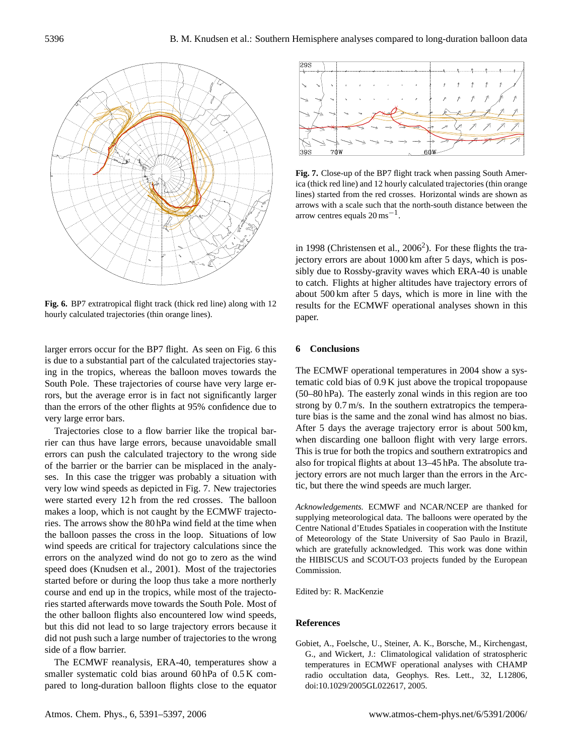

Fig. 6. BP7 extratropical flight track (thick red line) along with 12 lines). hourly calculated trajectories (thin orange lines).

larger errors occur for the BP7 flight. As seen on Fig. 6 this is due to a substantial part of the calculated trajectories staying in the tropics, whereas the balloon moves towards the South Pole. These trajectories of course have very large errors, but the average error is in fact not significantly larger than the errors of the other flights at 95% confidence due to very large error bars.

ses. In this case the trigger was probably a situation with Trajectories close to a flow barrier like the tropical barrier can thus have large errors, because unavoidable small errors can push the calculated trajectory to the wrong side of the barrier or the barrier can be misplaced in the analyvery low wind speeds as depicted in Fig. 7. New trajectories were started every 12 h from the red crosses. The balloon makes a loop, which is not caught by the ECMWF trajectories. The arrows show the 80 hPa wind field at the time when the balloon passes the cross in the loop. Situations of low wind speeds are critical for trajectory calculations since the errors on the analyzed wind do not go to zero as the wind speed does (Knudsen et al., 2001). Most of the trajectories started before or during the loop thus take a more northerly course and end up in the tropics, while most of the trajectories started afterwards move towards the South Pole. Most of the other balloon flights also encountered low wind speeds, but this did not lead to so large trajectory errors because it did not push such a large number of trajectories to the wrong side of a flow barrier.

The ECMWF reanalysis, ERA-40, temperatures show a smaller systematic cold bias around 60 hPa of 0.5 K compared to long-duration balloon flights close to the equator





Fig. 7. Close-up of the BP7 flight track when passing South America (thick red line) and 12 hourly calculated trajectories (thin orange lines) started from the red crosses. Horizontal winds are shown as arrows with a scale such that the north-south distance between the arrow centres equals  $20 \text{ ms}^{-1}$ .

in 1998 (Christensen et al.,  $2006^2$  $2006^2$ ). For these flights the trajectory errors are about 1000 km after 5 days, which is possibly due to Rossby-gravity waves which ERA-40 is unable to catch. Flights at higher altitudes have trajectory errors of about 500 km after 5 days, which is more in line with the results for the ECMWF operational analyses shown in this paper.

## **6 Conclusions**

tic, but there the wind speeds are much larger. The ECMWF operational temperatures in 2004 show a systematic cold bias of 0.9 K just above the tropical tropopause (50–80 hPa). The easterly zonal winds in this region are too strong by 0.7 m/s. In the southern extratropics the temperature bias is the same and the zonal wind has almost no bias. After 5 days the average trajectory error is about 500 km, when discarding one balloon flight with very large errors. This is true for both the tropics and southern extratropics and also for tropical flights at about 13–45 hPa. The absolute trajectory errors are not much larger than the errors in the Arc-

*Acknowledgements.* ECMWF and NCAR/NCEP are thanked for supplying meteorological data. The balloons were operated by the Centre National d'Etudes Spatiales in cooperation with the Institute of Meteorology of the State University of Sao Paulo in Brazil, which are gratefully acknowledged. This work was done within the HIBISCUS and SCOUT-O3 projects funded by the European Commission.

Edited by: R. MacKenzie

## **References**

Gobiet, A., Foelsche, U., Steiner, A. K., Borsche, M., Kirchengast, G., and Wickert, J.: Climatological validation of stratospheric temperatures in ECMWF operational analyses with CHAMP radio occultation data, Geophys. Res. Lett., 32, L12806, doi:10.1029/2005GL022617, 2005.